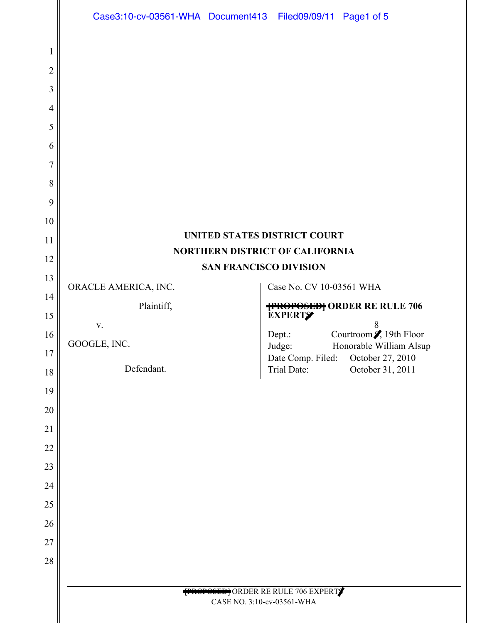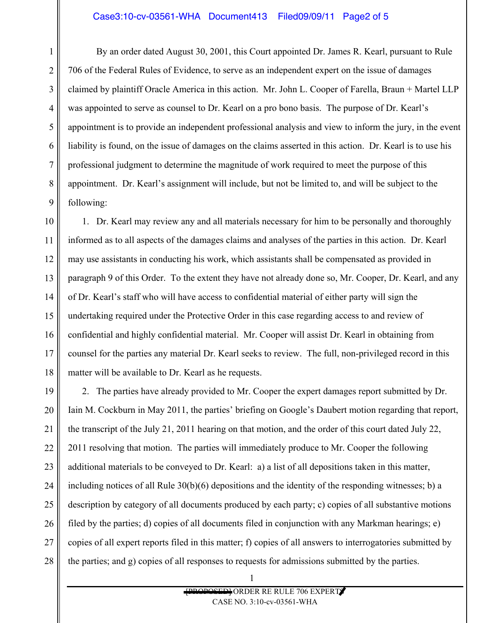## Case3:10-cv-03561-WHA Document413 Filed09/09/11 Page2 of 5

1 2 3 4 5 6 7 8 9 By an order dated August 30, 2001, this Court appointed Dr. James R. Kearl, pursuant to Rule 706 of the Federal Rules of Evidence, to serve as an independent expert on the issue of damages claimed by plaintiff Oracle America in this action. Mr. John L. Cooper of Farella, Braun + Martel LLP was appointed to serve as counsel to Dr. Kearl on a pro bono basis. The purpose of Dr. Kearl's appointment is to provide an independent professional analysis and view to inform the jury, in the event liability is found, on the issue of damages on the claims asserted in this action. Dr. Kearl is to use his professional judgment to determine the magnitude of work required to meet the purpose of this appointment. Dr. Kearl's assignment will include, but not be limited to, and will be subject to the following:

10 11 12 13 14 15 16 17 18 1. Dr. Kearl may review any and all materials necessary for him to be personally and thoroughly informed as to all aspects of the damages claims and analyses of the parties in this action. Dr. Kearl may use assistants in conducting his work, which assistants shall be compensated as provided in paragraph 9 of this Order. To the extent they have not already done so, Mr. Cooper, Dr. Kearl, and any of Dr. Kearl's staff who will have access to confidential material of either party will sign the undertaking required under the Protective Order in this case regarding access to and review of confidential and highly confidential material. Mr. Cooper will assist Dr. Kearl in obtaining from counsel for the parties any material Dr. Kearl seeks to review. The full, non-privileged record in this matter will be available to Dr. Kearl as he requests.

19 20 21 22 23 24 25 26 27 28 2. The parties have already provided to Mr. Cooper the expert damages report submitted by Dr. Iain M. Cockburn in May 2011, the parties' briefing on Google's Daubert motion regarding that report, the transcript of the July 21, 2011 hearing on that motion, and the order of this court dated July 22, 2011 resolving that motion. The parties will immediately produce to Mr. Cooper the following additional materials to be conveyed to Dr. Kearl: a) a list of all depositions taken in this matter, including notices of all Rule 30(b)(6) depositions and the identity of the responding witnesses; b) a description by category of all documents produced by each party; c) copies of all substantive motions filed by the parties; d) copies of all documents filed in conjunction with any Markman hearings; e) copies of all expert reports filed in this matter; f) copies of all answers to interrogatories submitted by the parties; and g) copies of all responses to requests for admissions submitted by the parties.

> [PROPOSED] ORDER RE RULE 706 EXPERTS CASE NO. 3:10-cv-03561-WHA

1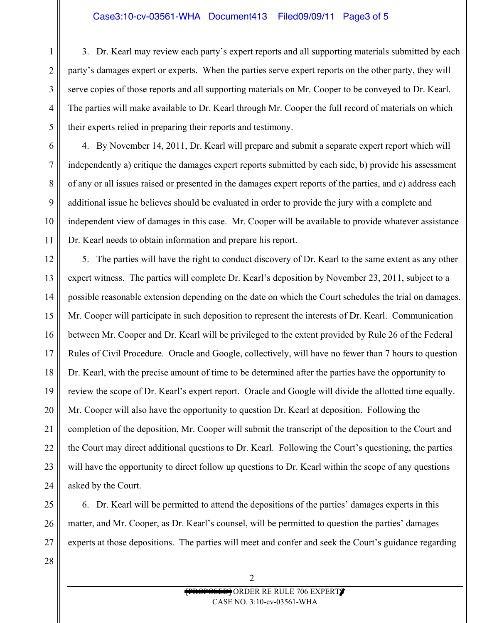## Case3:10-cv-03561-WHA Document413 Filed09/09/11 Page3 of 5

1 2 3 4 5 3. Dr. Kearl may review each party's expert reports and all supporting materials submitted by each party's damages expert or experts. When the parties serve expert reports on the other party, they will serve copies of those reports and all supporting materials on Mr. Cooper to be conveyed to Dr. Kearl. The parties will make available to Dr. Kearl through Mr. Cooper the full record of materials on which their experts relied in preparing their reports and testimony.

6 7 8 9 10 11 4. By November 14, 2011, Dr. Kearl will prepare and submit a separate expert report which will independently a) critique the damages expert reports submitted by each side, b) provide his assessment of any or all issues raised or presented in the damages expert reports of the parties, and c) address each additional issue he believes should be evaluated in order to provide the jury with a complete and independent view of damages in this case. Mr. Cooper will be available to provide whatever assistance Dr. Kearl needs to obtain information and prepare his report.

12 13 14 15 16 17 18 19 20 21 22 23 24 5. The parties will have the right to conduct discovery of Dr. Kearl to the same extent as any other expert witness. The parties will complete Dr. Kearl's deposition by November 23, 2011, subject to a possible reasonable extension depending on the date on which the Court schedules the trial on damages. Mr. Cooper will participate in such deposition to represent the interests of Dr. Kearl. Communication between Mr. Cooper and Dr. Kearl will be privileged to the extent provided by Rule 26 of the Federal Rules of Civil Procedure. Oracle and Google, collectively, will have no fewer than 7 hours to question Dr. Kearl, with the precise amount of time to be determined after the parties have the opportunity to review the scope of Dr. Kearl's expert report. Oracle and Google will divide the allotted time equally. Mr. Cooper will also have the opportunity to question Dr. Kearl at deposition. Following the completion of the deposition, Mr. Cooper will submit the transcript of the deposition to the Court and the Court may direct additional questions to Dr. Kearl. Following the Court's questioning, the parties will have the opportunity to direct follow up questions to Dr. Kearl within the scope of any questions asked by the Court.

25 26 27 6. Dr. Kearl will be permitted to attend the depositions of the parties' damages experts in this matter, and Mr. Cooper, as Dr. Kearl's counsel, will be permitted to question the parties' damages experts at those depositions. The parties will meet and confer and seek the Court's guidance regarding

2

28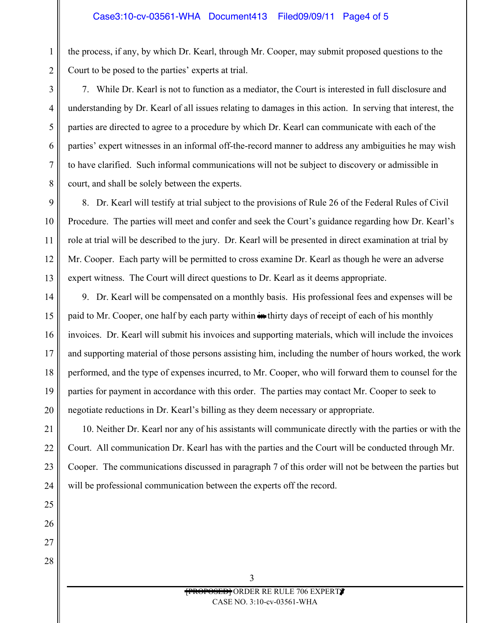1 2 the process, if any, by which Dr. Kearl, through Mr. Cooper, may submit proposed questions to the Court to be posed to the parties' experts at trial.

7. While Dr. Kearl is not to function as a mediator, the Court is interested in full disclosure and understanding by Dr. Kearl of all issues relating to damages in this action. In serving that interest, the parties are directed to agree to a procedure by which Dr. Kearl can communicate with each of the parties' expert witnesses in an informal off-the-record manner to address any ambiguities he may wish to have clarified. Such informal communications will not be subject to discovery or admissible in court, and shall be solely between the experts.

9 10 11 12 13 8. Dr. Kearl will testify at trial subject to the provisions of Rule 26 of the Federal Rules of Civil Procedure. The parties will meet and confer and seek the Court's guidance regarding how Dr. Kearl's role at trial will be described to the jury. Dr. Kearl will be presented in direct examination at trial by Mr. Cooper. Each party will be permitted to cross examine Dr. Kearl as though he were an adverse expert witness. The Court will direct questions to Dr. Kearl as it deems appropriate.

14 15 16 17 18 19 20 9. Dr. Kearl will be compensated on a monthly basis. His professional fees and expenses will be paid to Mr. Cooper, one half by each party within  $\frac{1}{2}$  thirty days of receipt of each of his monthly invoices. Dr. Kearl will submit his invoices and supporting materials, which will include the invoices and supporting material of those persons assisting him, including the number of hours worked, the work performed, and the type of expenses incurred, to Mr. Cooper, who will forward them to counsel for the parties for payment in accordance with this order. The parties may contact Mr. Cooper to seek to negotiate reductions in Dr. Kearl's billing as they deem necessary or appropriate.

21 22 23 24 10. Neither Dr. Kearl nor any of his assistants will communicate directly with the parties or with the Court. All communication Dr. Kearl has with the parties and the Court will be conducted through Mr. Cooper. The communications discussed in paragraph 7 of this order will not be between the parties but will be professional communication between the experts off the record.

25 26

27

3

4

5

6

7

8

28

[PROPOSED] ORDER RE RULE 706 EXPERTS CASE NO. 3:10-cv-03561-WHA